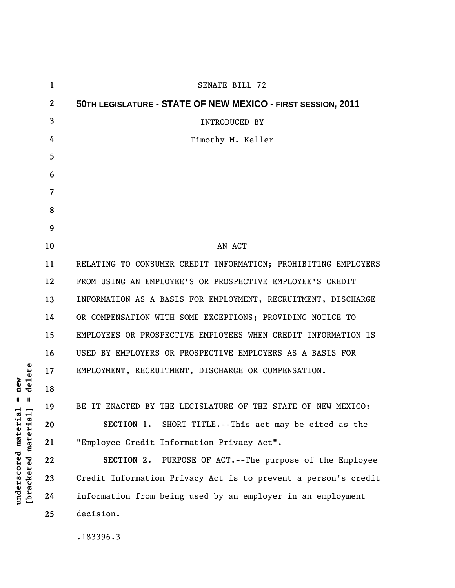| $\mathbf 1$  | SENATE BILL 72                                                 |
|--------------|----------------------------------------------------------------|
| $\mathbf{2}$ | 50TH LEGISLATURE - STATE OF NEW MEXICO - FIRST SESSION, 2011   |
| 3            | INTRODUCED BY                                                  |
| 4            | Timothy M. Keller                                              |
| 5            |                                                                |
| 6            |                                                                |
| 7            |                                                                |
| 8            |                                                                |
| 9            |                                                                |
| 10           | AN ACT                                                         |
| 11           | RELATING TO CONSUMER CREDIT INFORMATION; PROHIBITING EMPLOYERS |
| 12           | FROM USING AN EMPLOYEE'S OR PROSPECTIVE EMPLOYEE'S CREDIT      |
| 13           | INFORMATION AS A BASIS FOR EMPLOYMENT, RECRUITMENT, DISCHARGE  |
| 14           | OR COMPENSATION WITH SOME EXCEPTIONS; PROVIDING NOTICE TO      |
| 15           | EMPLOYEES OR PROSPECTIVE EMPLOYEES WHEN CREDIT INFORMATION IS  |
| 16           | USED BY EMPLOYERS OR PROSPECTIVE EMPLOYERS AS A BASIS FOR      |
| 17           | EMPLOYMENT, RECRUITMENT, DISCHARGE OR COMPENSATION.            |
| 18           |                                                                |
| 19           | BE IT ENACTED BY THE LEGISLATURE OF THE STATE OF NEW MEXICO:   |
| 20           | SECTION 1. SHORT TITLE. -- This act may be cited as the        |
| 21           | "Employee Credit Information Privacy Act".                     |
| 22           | SECTION 2. PURPOSE OF ACT.--The purpose of the Employee        |
| 23           | Credit Information Privacy Act is to prevent a person's credit |
| 24           | information from being used by an employer in an employment    |
| 25           | decision.                                                      |
|              | .183396.3                                                      |

 $[**bracket eted metert et**] = **del et e**$ **[bracketed material] = delete**  $underscored material = new$ **underscored material = new**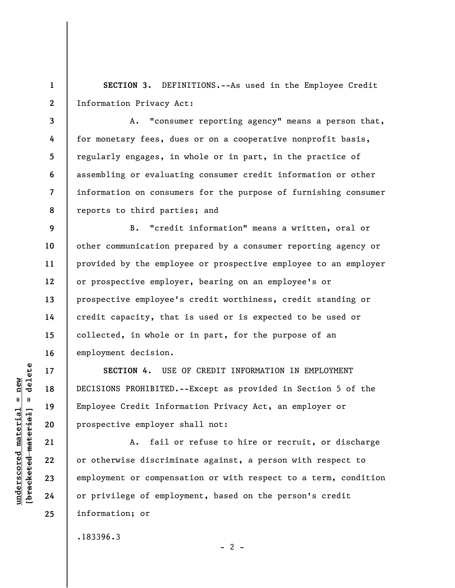**1 2 SECTION 3.** DEFINITIONS.--As used in the Employee Credit Information Privacy Act:

**3 4 5 6 7 8**  A. "consumer reporting agency" means a person that, for monetary fees, dues or on a cooperative nonprofit basis, regularly engages, in whole or in part, in the practice of assembling or evaluating consumer credit information or other information on consumers for the purpose of furnishing consumer reports to third parties; and

**9 10 11 12 13 14 15 16**  B. "credit information" means a written, oral or other communication prepared by a consumer reporting agency or provided by the employee or prospective employee to an employer or prospective employer, bearing on an employee's or prospective employee's credit worthiness, credit standing or credit capacity, that is used or is expected to be used or collected, in whole or in part, for the purpose of an employment decision.

**SECTION 4.** USE OF CREDIT INFORMATION IN EMPLOYMENT DECISIONS PROHIBITED.--Except as provided in Section 5 of the Employee Credit Information Privacy Act, an employer or prospective employer shall not:

A. fail or refuse to hire or recruit, or discharge or otherwise discriminate against, a person with respect to employment or compensation or with respect to a term, condition or privilege of employment, based on the person's credit information; or

 $- 2 -$ 

.183396.3

 $\frac{1}{2}$  intereted material = delete **[bracketed material] = delete**  $underscored material = new$ **underscored material = new**

**17** 

**18** 

**19** 

**20** 

**21** 

**22** 

**23** 

**24** 

**25**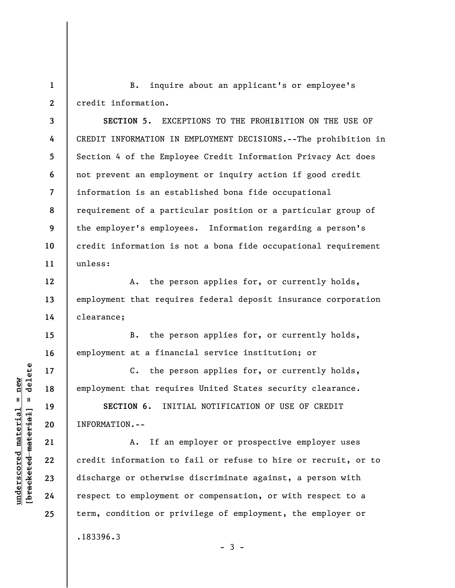**1 2**  B. inquire about an applicant's or employee's credit information.

**3 4 5 6 7 8 9 10 11 SECTION 5.** EXCEPTIONS TO THE PROHIBITION ON THE USE OF CREDIT INFORMATION IN EMPLOYMENT DECISIONS.--The prohibition in Section 4 of the Employee Credit Information Privacy Act does not prevent an employment or inquiry action if good credit information is an established bona fide occupational requirement of a particular position or a particular group of the employer's employees. Information regarding a person's credit information is not a bona fide occupational requirement unless:

A. the person applies for, or currently holds, employment that requires federal deposit insurance corporation clearance;

B. the person applies for, or currently holds, employment at a financial service institution; or

C. the person applies for, or currently holds, employment that requires United States security clearance.

**SECTION 6.** INITIAL NOTIFICATION OF USE OF CREDIT INFORMATION.--

A. If an employer or prospective employer uses credit information to fail or refuse to hire or recruit, or to discharge or otherwise discriminate against, a person with respect to employment or compensation, or with respect to a term, condition or privilege of employment, the employer or .183396.3

 $-3 -$ 

 $\frac{1}{2}$  intereted material = delete **[bracketed material] = delete**  $underscored material = new$ **underscored material = new**

**12** 

**13** 

**14** 

**15** 

**16** 

**17** 

**18** 

**19** 

**20** 

**21** 

**22** 

**23** 

**24** 

**25**